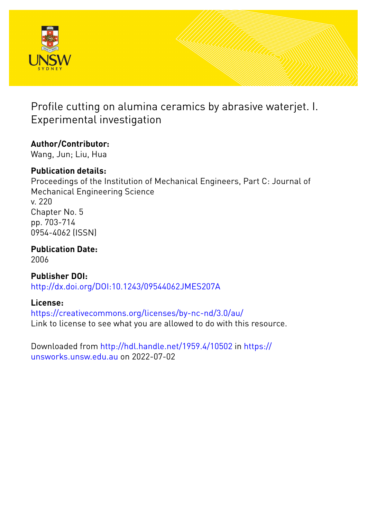

Profile cutting on alumina ceramics by abrasive waterjet. I. Experimental investigation

# **Author/Contributor:**

Wang, Jun; Liu, Hua

## **Publication details:**

Proceedings of the Institution of Mechanical Engineers, Part C: Journal of Mechanical Engineering Science v. 220 Chapter No. 5 pp. 703-714 0954-4062 (ISSN)

**Publication Date:** 2006

**Publisher DOI:** [http://dx.doi.org/DOI:10.1243/09544062JMES207A](http://dx.doi.org/http://dx.doi.org/DOI:10.1243/09544062JMES207A)

## **License:**

<https://creativecommons.org/licenses/by-nc-nd/3.0/au/> Link to license to see what you are allowed to do with this resource.

Downloaded from <http://hdl.handle.net/1959.4/10502> in [https://](https://unsworks.unsw.edu.au) [unsworks.unsw.edu.au](https://unsworks.unsw.edu.au) on 2022-07-02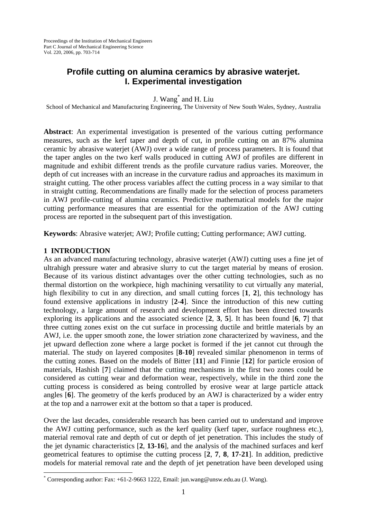## **Profile cutting on alumina ceramics by abrasive waterjet. I. Experimental investigation**

J. Wang\* and H. Liu

School of Mechanical and Manufacturing Engineering, The University of New South Wales, Sydney, Australia

**Abstract**: An experimental investigation is presented of the various cutting performance measures, such as the kerf taper and depth of cut, in profile cutting on an 87% alumina ceramic by abrasive waterjet (AWJ) over a wide range of process parameters. It is found that the taper angles on the two kerf walls produced in cutting AWJ of profiles are different in magnitude and exhibit different trends as the profile curvature radius varies. Moreover, the depth of cut increases with an increase in the curvature radius and approaches its maximum in straight cutting. The other process variables affect the cutting process in a way similar to that in straight cutting. Recommendations are finally made for the selection of process parameters in AWJ profile-cutting of alumina ceramics. Predictive mathematical models for the major cutting performance measures that are essential for the optimization of the AWJ cutting process are reported in the subsequent part of this investigation.

**Keywords**: Abrasive waterjet; AWJ; Profile cutting; Cutting performance; AWJ cutting.

#### **1 INTRODUCTION**

1

As an advanced manufacturing technology, abrasive waterjet (AWJ) cutting uses a fine jet of ultrahigh pressure water and abrasive slurry to cut the target material by means of erosion. Because of its various distinct advantages over the other cutting technologies, such as no thermal distortion on the workpiece, high machining versatility to cut virtually any material, high flexibility to cut in any direction, and small cutting forces [**1**, **2**], this technology has found extensive applications in industry [**2**-**4**]. Since the introduction of this new cutting technology, a large amount of research and development effort has been directed towards exploring its applications and the associated science [**2**, **3**, **5**]. It has been found [**6**, **7**] that three cutting zones exist on the cut surface in processing ductile and brittle materials by an AWJ, i.e. the upper smooth zone, the lower striation zone characterized by waviness, and the jet upward deflection zone where a large pocket is formed if the jet cannot cut through the material. The study on layered composites [**8**-**10**] revealed similar phenomenon in terms of the cutting zones. Based on the models of Bitter [**11**] and Finnie [**12**] for particle erosion of materials, Hashish [**7**] claimed that the cutting mechanisms in the first two zones could be considered as cutting wear and deformation wear, respectively, while in the third zone the cutting process is considered as being controlled by erosive wear at large particle attack angles [**6**]. The geometry of the kerfs produced by an AWJ is characterized by a wider entry at the top and a narrower exit at the bottom so that a taper is produced.

Over the last decades, considerable research has been carried out to understand and improve the AWJ cutting performance, such as the kerf quality (kerf taper, surface roughness etc.), material removal rate and depth of cut or depth of jet penetration. This includes the study of the jet dynamic characteristics [**2**, **13**-**16**], and the analysis of the machined surfaces and kerf geometrical features to optimise the cutting process [**2**, **7**, **8**, **17**-**21**]. In addition, predictive models for material removal rate and the depth of jet penetration have been developed using

<sup>\*</sup> Corresponding author: Fax: +61-2-9663 1222, Email: jun.wang@unsw.edu.au (J. Wang).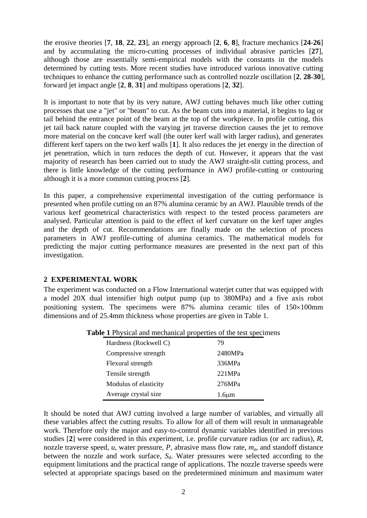the erosive theories [**7**, **18**, **22**, **23**], an energy approach [**2**, **6**, **8**], fracture mechanics [**24**-**26**] and by accumulating the micro-cutting processes of individual abrasive particles [**27**], although those are essentially semi-empirical models with the constants in the models determined by cutting tests. More recent studies have introduced various innovative cutting techniques to enhance the cutting performance such as controlled nozzle oscillation [**2**, **28**-**30**], forward jet impact angle [**2**, **8**, **31**] and multipass operations [**2**, **32**].

It is important to note that by its very nature, AWJ cutting behaves much like other cutting processes that use a "jet" or "beam" to cut. As the beam cuts into a material, it begins to lag or tail behind the entrance point of the beam at the top of the workpiece. In profile cutting, this jet tail back nature coupled with the varying jet traverse direction causes the jet to remove more material on the concave kerf wall (the outer kerf wall with larger radius), and generates different kerf tapers on the two kerf walls [**1**]. It also reduces the jet energy in the direction of jet penetration, which in turn reduces the depth of cut. However, it appears that the vast majority of research has been carried out to study the AWJ straight-slit cutting process, and there is little knowledge of the cutting performance in AWJ profile-cutting or contouring although it is a more common cutting process [**2**].

In this paper, a comprehensive experimental investigation of the cutting performance is presented when profile cutting on an 87% alumina ceramic by an AWJ. Plausible trends of the various kerf geometrical characteristics with respect to the tested process parameters are analysed. Particular attention is paid to the effect of kerf curvature on the kerf taper angles and the depth of cut. Recommendations are finally made on the selection of process parameters in AWJ profile-cutting of alumina ceramics. The mathematical models for predicting the major cutting performance measures are presented in the next part of this investigation.

### **2 EXPERIMENTAL WORK**

The experiment was conducted on a Flow International waterjet cutter that was equipped with a model 20X dual intensifier high output pump (up to 380MPa) and a five axis robot positioning system. The specimens were 87% alumina ceramic tiles of 150×100mm dimensions and of 25.4mm thickness whose properties are given in Table 1.

| e <b>1</b> 1 ii jolean and incentanced properties of the test specific |                   |
|------------------------------------------------------------------------|-------------------|
| Hardness (Rockwell C)                                                  | 79                |
| Compressive strength                                                   | 2480MPa           |
| Flexural strength                                                      | 336MPa            |
| Tensile strength                                                       | 221MPa            |
| Modulus of elasticity                                                  | 276MPa            |
| Average crystal size                                                   | 1.6 <sub>µm</sub> |

**Table 1** Physical and mechanical properties of the test specimens

It should be noted that AWJ cutting involved a large number of variables, and virtually all these variables affect the cutting results. To allow for all of them will result in unmanageable work. Therefore only the major and easy-to-control dynamic variables identified in previous studies [**2**] were considered in this experiment, i.e. profile curvature radius (or arc radius), *R*, nozzle traverse speed,  $u$ , water pressure,  $P$ , abrasive mass flow rate,  $m_a$ , and standoff distance between the nozzle and work surface,  $S_d$ . Water pressures were selected according to the equipment limitations and the practical range of applications. The nozzle traverse speeds were selected at appropriate spacings based on the predetermined minimum and maximum water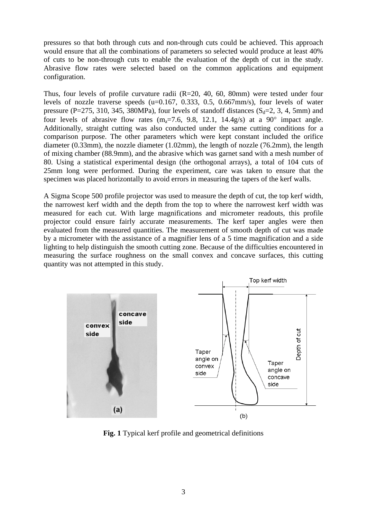pressures so that both through cuts and non-through cuts could be achieved. This approach would ensure that all the combinations of parameters so selected would produce at least 40% of cuts to be non-through cuts to enable the evaluation of the depth of cut in the study. Abrasive flow rates were selected based on the common applications and equipment configuration.

Thus, four levels of profile curvature radii (R=20, 40, 60, 80mm) were tested under four levels of nozzle traverse speeds  $(u=0.167, 0.333, 0.5, 0.667 \text{mm/s})$ , four levels of water pressure (P=275, 310, 345, 380MPa), four levels of standoff distances ( $S_d=2$ , 3, 4, 5mm) and four levels of abrasive flow rates  $(m_a=7.6, 9.8, 12.1, 14.4g/s)$  at a 90 $^{\circ}$  impact angle. Additionally, straight cutting was also conducted under the same cutting conditions for a comparison purpose. The other parameters which were kept constant included the orifice diameter (0.33mm), the nozzle diameter (1.02mm), the length of nozzle (76.2mm), the length of mixing chamber (88.9mm), and the abrasive which was garnet sand with a mesh number of 80. Using a statistical experimental design (the orthogonal arrays), a total of 104 cuts of 25mm long were performed. During the experiment, care was taken to ensure that the specimen was placed horizontally to avoid errors in measuring the tapers of the kerf walls.

A Sigma Scope 500 profile projector was used to measure the depth of cut, the top kerf width, the narrowest kerf width and the depth from the top to where the narrowest kerf width was measured for each cut. With large magnifications and micrometer readouts, this profile projector could ensure fairly accurate measurements. The kerf taper angles were then evaluated from the measured quantities. The measurement of smooth depth of cut was made by a micrometer with the assistance of a magnifier lens of a 5 time magnification and a side lighting to help distinguish the smooth cutting zone. Because of the difficulties encountered in measuring the surface roughness on the small convex and concave surfaces, this cutting quantity was not attempted in this study.



**Fig. 1** Typical kerf profile and geometrical definitions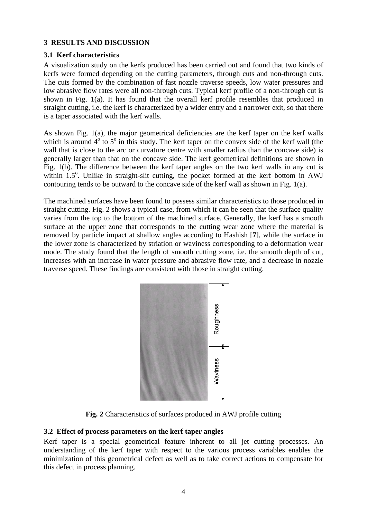#### **3 RESULTS AND DISCUSSION**

#### **3.1 Kerf characteristics**

A visualization study on the kerfs produced has been carried out and found that two kinds of kerfs were formed depending on the cutting parameters, through cuts and non-through cuts. The cuts formed by the combination of fast nozzle traverse speeds, low water pressures and low abrasive flow rates were all non-through cuts. Typical kerf profile of a non-through cut is shown in Fig. 1(a). It has found that the overall kerf profile resembles that produced in straight cutting, i.e. the kerf is characterized by a wider entry and a narrower exit, so that there is a taper associated with the kerf walls.

As shown Fig. 1(a), the major geometrical deficiencies are the kerf taper on the kerf walls which is around  $4^\circ$  to  $5^\circ$  in this study. The kerf taper on the convex side of the kerf wall (the wall that is close to the arc or curvature centre with smaller radius than the concave side) is generally larger than that on the concave side. The kerf geometrical definitions are shown in Fig. 1(b). The difference between the kerf taper angles on the two kerf walls in any cut is within 1.5°. Unlike in straight-slit cutting, the pocket formed at the kerf bottom in AWJ contouring tends to be outward to the concave side of the kerf wall as shown in Fig. 1(a).

The machined surfaces have been found to possess similar characteristics to those produced in straight cutting. Fig. 2 shows a typical case, from which it can be seen that the surface quality varies from the top to the bottom of the machined surface. Generally, the kerf has a smooth surface at the upper zone that corresponds to the cutting wear zone where the material is removed by particle impact at shallow angles according to Hashish [**7**], while the surface in the lower zone is characterized by striation or waviness corresponding to a deformation wear mode. The study found that the length of smooth cutting zone, i.e. the smooth depth of cut, increases with an increase in water pressure and abrasive flow rate, and a decrease in nozzle traverse speed. These findings are consistent with those in straight cutting.



**Fig. 2** Characteristics of surfaces produced in AWJ profile cutting

### **3.2 Effect of process parameters on the kerf taper angles**

Kerf taper is a special geometrical feature inherent to all jet cutting processes. An understanding of the kerf taper with respect to the various process variables enables the minimization of this geometrical defect as well as to take correct actions to compensate for this defect in process planning.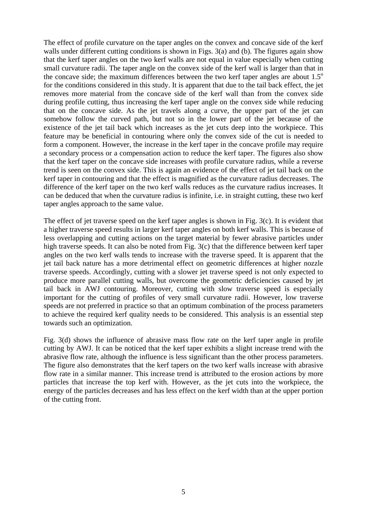The effect of profile curvature on the taper angles on the convex and concave side of the kerf walls under different cutting conditions is shown in Figs. 3(a) and (b). The figures again show that the kerf taper angles on the two kerf walls are not equal in value especially when cutting small curvature radii. The taper angle on the convex side of the kerf wall is larger than that in the concave side; the maximum differences between the two kerf taper angles are about  $1.5^\circ$ for the conditions considered in this study. It is apparent that due to the tail back effect, the jet removes more material from the concave side of the kerf wall than from the convex side during profile cutting, thus increasing the kerf taper angle on the convex side while reducing that on the concave side. As the jet travels along a curve, the upper part of the jet can somehow follow the curved path, but not so in the lower part of the jet because of the existence of the jet tail back which increases as the jet cuts deep into the workpiece. This feature may be beneficial in contouring where only the convex side of the cut is needed to form a component. However, the increase in the kerf taper in the concave profile may require a secondary process or a compensation action to reduce the kerf taper. The figures also show that the kerf taper on the concave side increases with profile curvature radius, while a reverse trend is seen on the convex side. This is again an evidence of the effect of jet tail back on the kerf taper in contouring and that the effect is magnified as the curvature radius decreases. The difference of the kerf taper on the two kerf walls reduces as the curvature radius increases. It can be deduced that when the curvature radius is infinite, i.e. in straight cutting, these two kerf taper angles approach to the same value.

The effect of jet traverse speed on the kerf taper angles is shown in Fig. 3(c). It is evident that a higher traverse speed results in larger kerf taper angles on both kerf walls. This is because of less overlapping and cutting actions on the target material by fewer abrasive particles under high traverse speeds. It can also be noted from Fig. 3(c) that the difference between kerf taper angles on the two kerf walls tends to increase with the traverse speed. It is apparent that the jet tail back nature has a more detrimental effect on geometric differences at higher nozzle traverse speeds. Accordingly, cutting with a slower jet traverse speed is not only expected to produce more parallel cutting walls, but overcome the geometric deficiencies caused by jet tail back in AWJ contouring. Moreover, cutting with slow traverse speed is especially important for the cutting of profiles of very small curvature radii. However, low traverse speeds are not preferred in practice so that an optimum combination of the process parameters to achieve the required kerf quality needs to be considered. This analysis is an essential step towards such an optimization.

Fig. 3(d) shows the influence of abrasive mass flow rate on the kerf taper angle in profile cutting by AWJ. It can be noticed that the kerf taper exhibits a slight increase trend with the abrasive flow rate, although the influence is less significant than the other process parameters. The figure also demonstrates that the kerf tapers on the two kerf walls increase with abrasive flow rate in a similar manner. This increase trend is attributed to the erosion actions by more particles that increase the top kerf with. However, as the jet cuts into the workpiece, the energy of the particles decreases and has less effect on the kerf width than at the upper portion of the cutting front.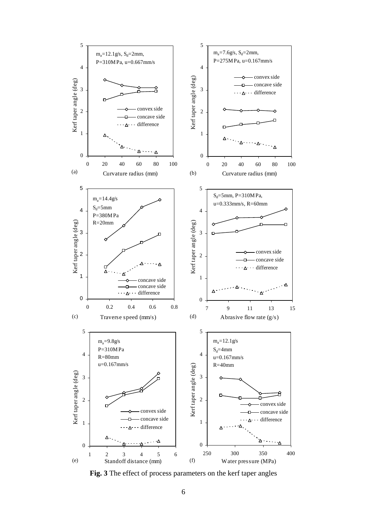

**Fig. 3** The effect of process parameters on the kerf taper angles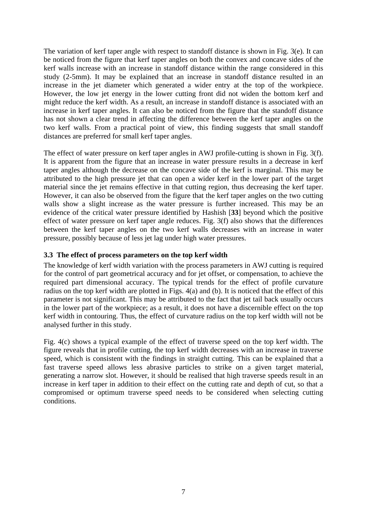The variation of kerf taper angle with respect to standoff distance is shown in Fig. 3(e). It can be noticed from the figure that kerf taper angles on both the convex and concave sides of the kerf walls increase with an increase in standoff distance within the range considered in this study (2-5mm). It may be explained that an increase in standoff distance resulted in an increase in the jet diameter which generated a wider entry at the top of the workpiece. However, the low jet energy in the lower cutting front did not widen the bottom kerf and might reduce the kerf width. As a result, an increase in standoff distance is associated with an increase in kerf taper angles. It can also be noticed from the figure that the standoff distance has not shown a clear trend in affecting the difference between the kerf taper angles on the two kerf walls. From a practical point of view, this finding suggests that small standoff distances are preferred for small kerf taper angles.

The effect of water pressure on kerf taper angles in AWJ profile-cutting is shown in Fig. 3(f). It is apparent from the figure that an increase in water pressure results in a decrease in kerf taper angles although the decrease on the concave side of the kerf is marginal. This may be attributed to the high pressure jet that can open a wider kerf in the lower part of the target material since the jet remains effective in that cutting region, thus decreasing the kerf taper. However, it can also be observed from the figure that the kerf taper angles on the two cutting walls show a slight increase as the water pressure is further increased. This may be an evidence of the critical water pressure identified by Hashish [**33**] beyond which the positive effect of water pressure on kerf taper angle reduces. Fig. 3(f) also shows that the differences between the kerf taper angles on the two kerf walls decreases with an increase in water pressure, possibly because of less jet lag under high water pressures.

#### **3.3 The effect of process parameters on the top kerf width**

The knowledge of kerf width variation with the process parameters in AWJ cutting is required for the control of part geometrical accuracy and for jet offset, or compensation, to achieve the required part dimensional accuracy. The typical trends for the effect of profile curvature radius on the top kerf width are plotted in Figs. 4(a) and (b). It is noticed that the effect of this parameter is not significant. This may be attributed to the fact that jet tail back usually occurs in the lower part of the workpiece; as a result, it does not have a discernible effect on the top kerf width in contouring. Thus, the effect of curvature radius on the top kerf width will not be analysed further in this study.

Fig. 4(c) shows a typical example of the effect of traverse speed on the top kerf width. The figure reveals that in profile cutting, the top kerf width decreases with an increase in traverse speed, which is consistent with the findings in straight cutting. This can be explained that a fast traverse speed allows less abrasive particles to strike on a given target material, generating a narrow slot. However, it should be realised that high traverse speeds result in an increase in kerf taper in addition to their effect on the cutting rate and depth of cut, so that a compromised or optimum traverse speed needs to be considered when selecting cutting conditions.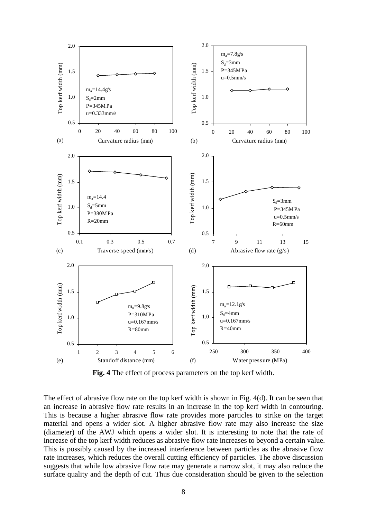

**Fig. 4** The effect of process parameters on the top kerf width.

The effect of abrasive flow rate on the top kerf width is shown in Fig. 4(d). It can be seen that an increase in abrasive flow rate results in an increase in the top kerf width in contouring. This is because a higher abrasive flow rate provides more particles to strike on the target material and opens a wider slot. A higher abrasive flow rate may also increase the size (diameter) of the AWJ which opens a wider slot. It is interesting to note that the rate of increase of the top kerf width reduces as abrasive flow rate increases to beyond a certain value. This is possibly caused by the increased interference between particles as the abrasive flow rate increases, which reduces the overall cutting efficiency of particles. The above discussion suggests that while low abrasive flow rate may generate a narrow slot, it may also reduce the surface quality and the depth of cut. Thus due consideration should be given to the selection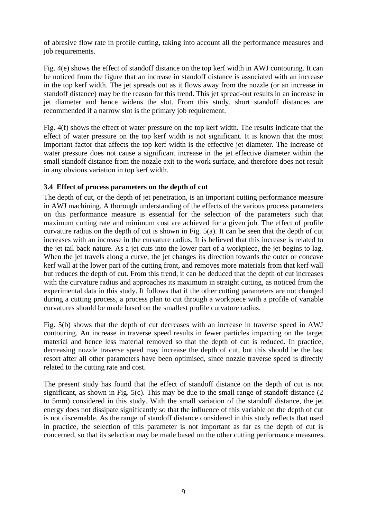of abrasive flow rate in profile cutting, taking into account all the performance measures and job requirements.

Fig. 4(e) shows the effect of standoff distance on the top kerf width in AWJ contouring. It can be noticed from the figure that an increase in standoff distance is associated with an increase in the top kerf width. The jet spreads out as it flows away from the nozzle (or an increase in standoff distance) may be the reason for this trend. This jet spread-out results in an increase in jet diameter and hence widens the slot. From this study, short standoff distances are recommended if a narrow slot is the primary job requirement.

Fig. 4(f) shows the effect of water pressure on the top kerf width. The results indicate that the effect of water pressure on the top kerf width is not significant. It is known that the most important factor that affects the top kerf width is the effective jet diameter. The increase of water pressure does not cause a significant increase in the jet effective diameter within the small standoff distance from the nozzle exit to the work surface, and therefore does not result in any obvious variation in top kerf width.

### **3.4 Effect of process parameters on the depth of cut**

The depth of cut, or the depth of jet penetration, is an important cutting performance measure in AWJ machining. A thorough understanding of the effects of the various process parameters on this performance measure is essential for the selection of the parameters such that maximum cutting rate and minimum cost are achieved for a given job. The effect of profile curvature radius on the depth of cut is shown in Fig. 5(a). It can be seen that the depth of cut increases with an increase in the curvature radius. It is believed that this increase is related to the jet tail back nature. As a jet cuts into the lower part of a workpiece, the jet begins to lag. When the jet travels along a curve, the jet changes its direction towards the outer or concave kerf wall at the lower part of the cutting front, and removes more materials from that kerf wall but reduces the depth of cut. From this trend, it can be deduced that the depth of cut increases with the curvature radius and approaches its maximum in straight cutting, as noticed from the experimental data in this study. It follows that if the other cutting parameters are not changed during a cutting process, a process plan to cut through a workpiece with a profile of variable curvatures should be made based on the smallest profile curvature radius.

Fig. 5(b) shows that the depth of cut decreases with an increase in traverse speed in AWJ contouring. An increase in traverse speed results in fewer particles impacting on the target material and hence less material removed so that the depth of cut is reduced. In practice, decreasing nozzle traverse speed may increase the depth of cut, but this should be the last resort after all other parameters have been optimised, since nozzle traverse speed is directly related to the cutting rate and cost.

The present study has found that the effect of standoff distance on the depth of cut is not significant, as shown in Fig. 5(c). This may be due to the small range of standoff distance (2) to 5mm) considered in this study. With the small variation of the standoff distance, the jet energy does not dissipate significantly so that the influence of this variable on the depth of cut is not discernable. As the range of standoff distance considered in this study reflects that used in practice, the selection of this parameter is not important as far as the depth of cut is concerned, so that its selection may be made based on the other cutting performance measures.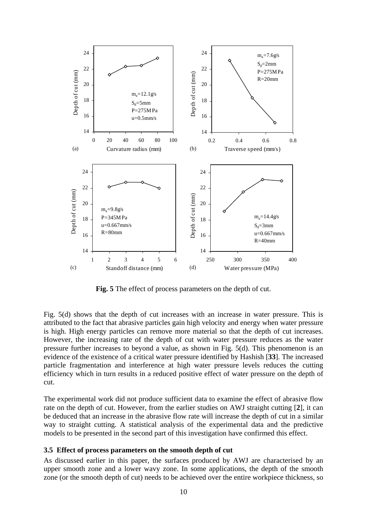

**Fig. 5** The effect of process parameters on the depth of cut.

Fig. 5(d) shows that the depth of cut increases with an increase in water pressure. This is attributed to the fact that abrasive particles gain high velocity and energy when water pressure is high. High energy particles can remove more material so that the depth of cut increases. However, the increasing rate of the depth of cut with water pressure reduces as the water pressure further increases to beyond a value, as shown in Fig. 5(d). This phenomenon is an evidence of the existence of a critical water pressure identified by Hashish [**33**]. The increased particle fragmentation and interference at high water pressure levels reduces the cutting efficiency which in turn results in a reduced positive effect of water pressure on the depth of cut.

The experimental work did not produce sufficient data to examine the effect of abrasive flow rate on the depth of cut. However, from the earlier studies on AWJ straight cutting [**2**], it can be deduced that an increase in the abrasive flow rate will increase the depth of cut in a similar way to straight cutting. A statistical analysis of the experimental data and the predictive models to be presented in the second part of this investigation have confirmed this effect.

#### **3.5 Effect of process parameters on the smooth depth of cut**

As discussed earlier in this paper, the surfaces produced by AWJ are characterised by an upper smooth zone and a lower wavy zone. In some applications, the depth of the smooth zone (or the smooth depth of cut) needs to be achieved over the entire workpiece thickness, so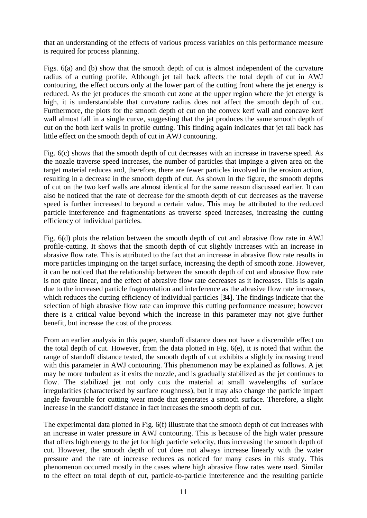that an understanding of the effects of various process variables on this performance measure is required for process planning.

Figs. 6(a) and (b) show that the smooth depth of cut is almost independent of the curvature radius of a cutting profile. Although jet tail back affects the total depth of cut in AWJ contouring, the effect occurs only at the lower part of the cutting front where the jet energy is reduced. As the jet produces the smooth cut zone at the upper region where the jet energy is high, it is understandable that curvature radius does not affect the smooth depth of cut. Furthermore, the plots for the smooth depth of cut on the convex kerf wall and concave kerf wall almost fall in a single curve, suggesting that the jet produces the same smooth depth of cut on the both kerf walls in profile cutting. This finding again indicates that jet tail back has little effect on the smooth depth of cut in AWJ contouring.

Fig. 6(c) shows that the smooth depth of cut decreases with an increase in traverse speed. As the nozzle traverse speed increases, the number of particles that impinge a given area on the target material reduces and, therefore, there are fewer particles involved in the erosion action, resulting in a decrease in the smooth depth of cut. As shown in the figure, the smooth depths of cut on the two kerf walls are almost identical for the same reason discussed earlier. It can also be noticed that the rate of decrease for the smooth depth of cut decreases as the traverse speed is further increased to beyond a certain value. This may be attributed to the reduced particle interference and fragmentations as traverse speed increases, increasing the cutting efficiency of individual particles.

Fig. 6(d) plots the relation between the smooth depth of cut and abrasive flow rate in AWJ profile-cutting. It shows that the smooth depth of cut slightly increases with an increase in abrasive flow rate. This is attributed to the fact that an increase in abrasive flow rate results in more particles impinging on the target surface, increasing the depth of smooth zone. However, it can be noticed that the relationship between the smooth depth of cut and abrasive flow rate is not quite linear, and the effect of abrasive flow rate decreases as it increases. This is again due to the increased particle fragmentation and interference as the abrasive flow rate increases, which reduces the cutting efficiency of individual particles [**34**]. The findings indicate that the selection of high abrasive flow rate can improve this cutting performance measure; however there is a critical value beyond which the increase in this parameter may not give further benefit, but increase the cost of the process.

From an earlier analysis in this paper, standoff distance does not have a discernible effect on the total depth of cut. However, from the data plotted in Fig. 6(e), it is noted that within the range of standoff distance tested, the smooth depth of cut exhibits a slightly increasing trend with this parameter in AWJ contouring. This phenomenon may be explained as follows. A jet may be more turbulent as it exits the nozzle, and is gradually stabilized as the jet continues to flow. The stabilized jet not only cuts the material at small wavelengths of surface irregularities (characterised by surface roughness), but it may also change the particle impact angle favourable for cutting wear mode that generates a smooth surface. Therefore, a slight increase in the standoff distance in fact increases the smooth depth of cut.

The experimental data plotted in Fig. 6(f) illustrate that the smooth depth of cut increases with an increase in water pressure in AWJ contouring. This is because of the high water pressure that offers high energy to the jet for high particle velocity, thus increasing the smooth depth of cut. However, the smooth depth of cut does not always increase linearly with the water pressure and the rate of increase reduces as noticed for many cases in this study. This phenomenon occurred mostly in the cases where high abrasive flow rates were used. Similar to the effect on total depth of cut, particle-to-particle interference and the resulting particle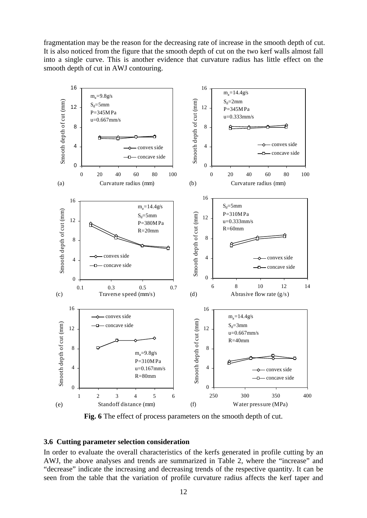fragmentation may be the reason for the decreasing rate of increase in the smooth depth of cut. It is also noticed from the figure that the smooth depth of cut on the two kerf walls almost fall into a single curve. This is another evidence that curvature radius has little effect on the smooth depth of cut in AWJ contouring.



**Fig. 6** The effect of process parameters on the smooth depth of cut.

#### **3.6 Cutting parameter selection consideration**

In order to evaluate the overall characteristics of the kerfs generated in profile cutting by an AWJ, the above analyses and trends are summarized in Table 2, where the "increase" and "decrease" indicate the increasing and decreasing trends of the respective quantity. It can be seen from the table that the variation of profile curvature radius affects the kerf taper and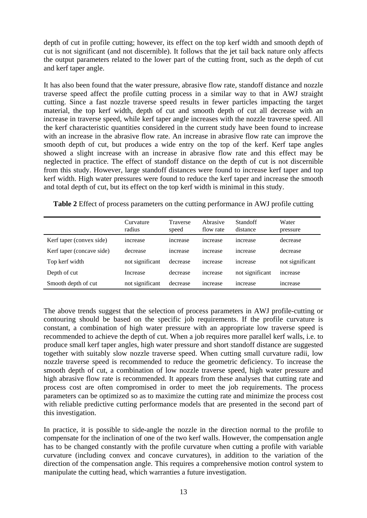depth of cut in profile cutting; however, its effect on the top kerf width and smooth depth of cut is not significant (and not discernible). It follows that the jet tail back nature only affects the output parameters related to the lower part of the cutting front, such as the depth of cut and kerf taper angle.

It has also been found that the water pressure, abrasive flow rate, standoff distance and nozzle traverse speed affect the profile cutting process in a similar way to that in AWJ straight cutting. Since a fast nozzle traverse speed results in fewer particles impacting the target material, the top kerf width, depth of cut and smooth depth of cut all decrease with an increase in traverse speed, while kerf taper angle increases with the nozzle traverse speed. All the kerf characteristic quantities considered in the current study have been found to increase with an increase in the abrasive flow rate. An increase in abrasive flow rate can improve the smooth depth of cut, but produces a wide entry on the top of the kerf. Kerf tape angles showed a slight increase with an increase in abrasive flow rate and this effect may be neglected in practice. The effect of standoff distance on the depth of cut is not discernible from this study. However, large standoff distances were found to increase kerf taper and top kerf width. High water pressures were found to reduce the kerf taper and increase the smooth and total depth of cut, but its effect on the top kerf width is minimal in this study.

**Table 2** Effect of process parameters on the cutting performance in AWJ profile cutting

|                           | Curvature<br>radius | Traverse<br>speed | Abrasive<br>flow rate | <b>Standoff</b><br>distance | Water<br>pressure |
|---------------------------|---------------------|-------------------|-----------------------|-----------------------------|-------------------|
| Kerf taper (convex side)  | increase            | increase          | increase              | increase                    | decrease          |
| Kerf taper (concave side) | decrease            | increase          | increase              | increase                    | decrease          |
| Top kerf width            | not significant     | decrease          | increase              | increase                    | not significant   |
| Depth of cut              | Increase            | decrease          | increase              | not significant             | increase          |
| Smooth depth of cut       | not significant     | decrease          | increase              | increase                    | increase          |

The above trends suggest that the selection of process parameters in AWJ profile-cutting or contouring should be based on the specific job requirements. If the profile curvature is constant, a combination of high water pressure with an appropriate low traverse speed is recommended to achieve the depth of cut. When a job requires more parallel kerf walls, i.e. to produce small kerf taper angles, high water pressure and short standoff distance are suggested together with suitably slow nozzle traverse speed. When cutting small curvature radii, low nozzle traverse speed is recommended to reduce the geometric deficiency. To increase the smooth depth of cut, a combination of low nozzle traverse speed, high water pressure and high abrasive flow rate is recommended. It appears from these analyses that cutting rate and process cost are often compromised in order to meet the job requirements. The process parameters can be optimized so as to maximize the cutting rate and minimize the process cost with reliable predictive cutting performance models that are presented in the second part of this investigation.

In practice, it is possible to side-angle the nozzle in the direction normal to the profile to compensate for the inclination of one of the two kerf walls. However, the compensation angle has to be changed constantly with the profile curvature when cutting a profile with variable curvature (including convex and concave curvatures), in addition to the variation of the direction of the compensation angle. This requires a comprehensive motion control system to manipulate the cutting head, which warranties a future investigation.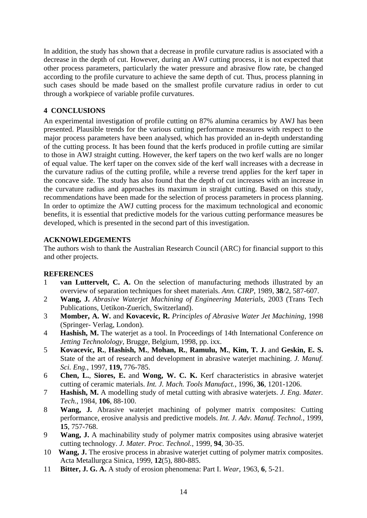In addition, the study has shown that a decrease in profile curvature radius is associated with a decrease in the depth of cut. However, during an AWJ cutting process, it is not expected that other process parameters, particularly the water pressure and abrasive flow rate, be changed according to the profile curvature to achieve the same depth of cut. Thus, process planning in such cases should be made based on the smallest profile curvature radius in order to cut through a workpiece of variable profile curvatures.

### **4 CONCLUSIONS**

An experimental investigation of profile cutting on 87% alumina ceramics by AWJ has been presented. Plausible trends for the various cutting performance measures with respect to the major process parameters have been analysed, which has provided an in-depth understanding of the cutting process. It has been found that the kerfs produced in profile cutting are similar to those in AWJ straight cutting. However, the kerf tapers on the two kerf walls are no longer of equal value. The kerf taper on the convex side of the kerf wall increases with a decrease in the curvature radius of the cutting profile, while a reverse trend applies for the kerf taper in the concave side. The study has also found that the depth of cut increases with an increase in the curvature radius and approaches its maximum in straight cutting. Based on this study, recommendations have been made for the selection of process parameters in process planning. In order to optimize the AWJ cutting process for the maximum technological and economic benefits, it is essential that predictive models for the various cutting performance measures be developed, which is presented in the second part of this investigation.

### **ACKNOWLEDGEMENTS**

The authors wish to thank the Australian Research Council (ARC) for financial support to this and other projects.

### **REFERENCES**

- 1 **van Luttervelt, C. A.** On the selection of manufacturing methods illustrated by an overview of separation techniques for sheet materials. *Ann. CIRP*, 1989, **38**/2, 587-607.
- 2 **Wang, J.** *Abrasive Waterjet Machining of Engineering Materials*, 2003 (Trans Tech Publications, Uetikon-Zuerich, Switzerland).
- 3 **Momber, A. W.** and **Kovacevic, R.** *Principles of Abrasive Water Jet Machining*, 1998 (Springer- Verlag, London).
- 4 **Hashish, M.** The waterjet as a tool. In Proceedings of 14th International Conference *on Jetting Technolology*, Brugge, Belgium, 1998, pp. ixx.
- 5 **Kovacevic, R.**, **Hashish, M.**, **Mohan, R.**, **Ramulu, M.**, **Kim, T. J.** and **Geskin, E. S.** State of the art of research and development in abrasive waterjet machining. *J. Manuf. Sci. Eng.*, 1997, **119,** 776-785.
- 6 **Chen, L.**, **Siores, E.** and **Wong, W. C. K.** Kerf characteristics in abrasive waterjet cutting of ceramic materials. *Int. J. Mach. Tools Manufact.*, 1996, **36**, 1201-1206.
- 7 **Hashish, M.** A modelling study of metal cutting with abrasive waterjets. *J. Eng. Mater. Tech.*, 1984, **106**, 88-100.
- 8 **Wang, J.** Abrasive waterjet machining of polymer matrix composites: Cutting performance, erosive analysis and predictive models. *Int. J. Adv. Manuf. Technol.*, 1999, **15**, 757-768.
- 9 **Wang, J.** A machinability study of polymer matrix composites using abrasive waterjet cutting technology. *J. Mater. Proc. Technol.*, 1999, **94**, 30-35.
- 10 **Wang, J.** The erosive process in abrasive waterjet cutting of polymer matrix composites. Acta Metallurgca Sinica, 1999, **12**(5), 880-885.
- 11 **Bitter, J. G. A.** A study of erosion phenomena: Part I. *Wear*, 1963, **6**, 5-21.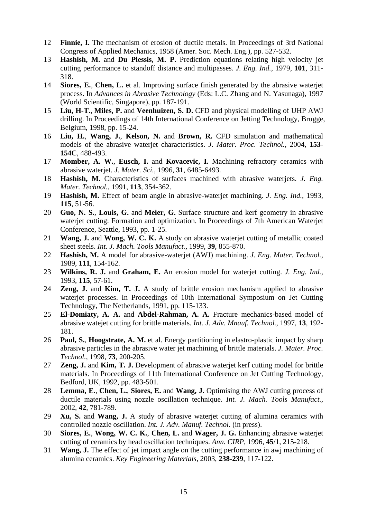- 12 **Finnie, I.** The mechanism of erosion of ductile metals. In Proceedings of 3rd National Congress of Applied Mechanics, 1958 (Amer. Soc. Mech. Eng.), pp. 527-532.
- 13 **Hashish, M.** and **Du Plessis, M. P.** Prediction equations relating high velocity jet cutting performance to standoff distance and multipasses. *J. Eng. Ind.*, 1979, **101**, 311- 318.
- 14 **Siores, E.**, **Chen, L.** et al. Improving surface finish generated by the abrasive waterjet process. In *Advances in Abrasive Technology* (Eds: L.C. Zhang and N. Yasunaga), 1997 (World Scientific, Singapore), pp. 187-191.
- 15 **Liu, H-T.**, **Miles, P.** and **Veenhuizen, S. D.** CFD and physical modelling of UHP AWJ drilling. In Proceedings of 14th International Conference on Jetting Technology, Brugge, Belgium, 1998, pp. 15-24.
- 16 **Liu, H.**, **Wang, J.**, **Kelson, N.** and **Brown, R.** CFD simulation and mathematical models of the abrasive waterjet characteristics. *J. Mater. Proc. Technol.*, 2004, **153- 154C**, 488-493.
- 17 **Momber, A. W.**, **Eusch, I.** and **Kovacevic, I.** Machining refractory ceramics with abrasive waterjet. *J. Mater. Sci.*, 1996, **31**, 6485-6493.
- 18 **Hashish, M.** Characteristics of surfaces machined with abrasive waterjets. *J. Eng. Mater. Technol.*, 1991, **113**, 354-362.
- 19 **Hashish, M.** Effect of beam angle in abrasive-waterjet machining. *J. Eng. Ind.*, 1993, **115**, 51-56.
- 20 **Guo, N. S.**, **Louis, G.** and **Meier, G.** Surface structure and kerf geometry in abrasive wateriet cutting: Formation and optimization. In Proceedings of 7th American Wateriet Conference, Seattle, 1993, pp. 1-25.
- 21 **Wang, J.** and **Wong, W. C. K.** A study on abrasive waterjet cutting of metallic coated sheet steels. *Int. J. Mach. Tools Manufact.*, 1999, **39**, 855-870.
- 22 **Hashish, M.** A model for abrasive-waterjet (AWJ) machining. *J. Eng. Mater. Technol.*, 1989, **111**, 154-162.
- 23 **Wilkins, R. J.** and **Graham, E.** An erosion model for waterjet cutting. *J. Eng. Ind.*, 1993, **115**, 57-61.
- 24 **Zeng, J.** and **Kim, T. J.** A study of brittle erosion mechanism applied to abrasive waterjet processes. In Proceedings of 10th International Symposium on Jet Cutting Technology, The Netherlands, 1991, pp. 115-133.
- 25 **El-Domiaty, A. A.** and **Abdel-Rahman, A. A.** Fracture mechanics-based model of abrasive watejet cutting for brittle materials. *Int. J. Adv. Mnauf. Technol.*, 1997, **13**, 192- 181.
- 26 **Paul, S.**, **Hoogstrate, A. M.** et al. Energy partitioning in elastro-plastic impact by sharp abrasive particles in the abrasive water jet machining of brittle materials. *J. Mater. Proc. Technol.*, 1998, **73**, 200-205.
- 27 **Zeng, J.** and **Kim, T. J.** Development of abrasive waterjet kerf cutting model for brittle materials. In Proceedings of 11th International Conference on Jet Cutting Technology, Bedford, UK, 1992, pp. 483-501.
- 28 **Lemma, E.**, **Chen, L.**, **Siores, E.** and **Wang, J.** Optimising the AWJ cutting process of ductile materials using nozzle oscillation technique. *Int. J. Mach. Tools Manufact.*, 2002, **42**, 781-789.
- 29 **Xu, S.** and **Wang, J.** A study of abrasive waterjet cutting of alumina ceramics with controlled nozzle oscillation. *Int. J. Adv. Manuf. Technol*. (in press).
- 30 **Siores, E.**, **Wong, W. C. K.**, **Chen, L.** and **Wager, J. G.** Enhancing abrasive waterjet cutting of ceramics by head oscillation techniques. *Ann. CIRP*, 1996, **45**/1, 215-218.
- 31 **Wang, J.** The effect of jet impact angle on the cutting performance in awj machining of alumina ceramics. *Key Engineering Materials*, 2003, **238-239**, 117-122.